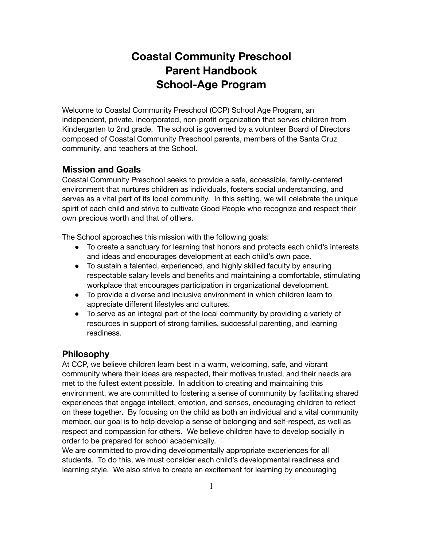# **Coastal Community Preschool Parent Handbook School-Age Program**

Welcome to Coastal Community Preschool (CCP) School Age Program, an independent, private, incorporated, non-profit organization that serves children from Kindergarten to 2nd grade. The school is governed by a volunteer Board of Directors composed of Coastal Community Preschool parents, members of the Santa Cruz community, and teachers at the School.

# **Mission and Goals**

Coastal Community Preschool seeks to provide a safe, accessible, family-centered environment that nurtures children as individuals, fosters social understanding, and serves as a vital part of its local community. In this setting, we will celebrate the unique spirit of each child and strive to cultivate Good People who recognize and respect their own precious worth and that of others.

The School approaches this mission with the following goals:

- To create a sanctuary for learning that honors and protects each child's interests and ideas and encourages development at each child's own pace.
- To sustain a talented, experienced, and highly skilled faculty by ensuring respectable salary levels and benefits and maintaining a comfortable, stimulating workplace that encourages participation in organizational development.
- To provide a diverse and inclusive environment in which children learn to appreciate different lifestyles and cultures.
- To serve as an integral part of the local community by providing a variety of resources in support of strong families, successful parenting, and learning readiness.

### **Philosophy**

At CCP, we believe children learn best in a warm, welcoming, safe, and vibrant community where their ideas are respected, their motives trusted, and their needs are met to the fullest extent possible. In addition to creating and maintaining this environment, we are committed to fostering a sense of community by facilitating shared experiences that engage intellect, emotion, and senses, encouraging children to reflect on these together. By focusing on the child as both an individual and a vital community member, our goal is to help develop a sense of belonging and self-respect, as well as respect and compassion for others. We believe children have to develop socially in order to be prepared for school academically.

We are committed to providing developmentally appropriate experiences for all students. To do this, we must consider each child's developmental readiness and learning style. We also strive to create an excitement for learning by encouraging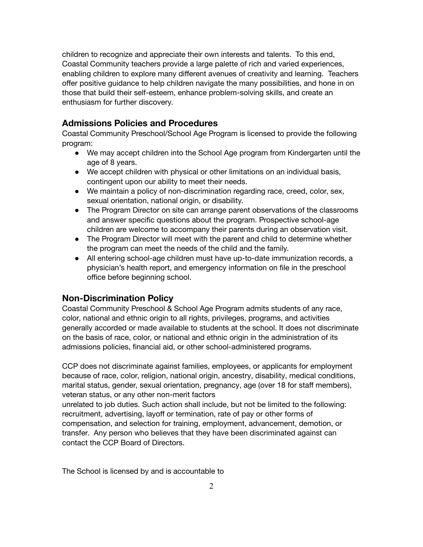children to recognize and appreciate their own interests and talents. To this end, Coastal Community teachers provide a large palette of rich and varied experiences, enabling children to explore many different avenues of creativity and learning. Teachers offer positive guidance to help children navigate the many possibilities, and hone in on those that build their self-esteem, enhance problem-solving skills, and create an enthusiasm for further discovery.

### **Admissions Policies and Procedures**

Coastal Community Preschool/School Age Program is licensed to provide the following program:

- We may accept children into the School Age program from Kindergarten until the age of 8 years.
- We accept children with physical or other limitations on an individual basis, contingent upon our ability to meet their needs.
- We maintain a policy of non-discrimination regarding race, creed, color, sex, sexual orientation, national origin, or disability.
- The Program Director on site can arrange parent observations of the classrooms and answer specific questions about the program. Prospective school-age children are welcome to accompany their parents during an observation visit.
- The Program Director will meet with the parent and child to determine whether the program can meet the needs of the child and the family.
- All entering school-age children must have up-to-date immunization records, a physician's health report, and emergency information on file in the preschool office before beginning school.

#### **Non-Discrimination Policy**

Coastal Community Preschool & School Age Program admits students of any race, color, national and ethnic origin to all rights, privileges, programs, and activities generally accorded or made available to students at the school. It does not discriminate on the basis of race, color, or national and ethnic origin in the administration of its admissions policies, financial aid, or other school-administered programs.

CCP does not discriminate against families, employees, or applicants for employment because of race, color, religion, national origin, ancestry, disability, medical conditions, marital status, gender, sexual orientation, pregnancy, age (over 18 for staff members), veteran status, or any other non-merit factors

unrelated to job duties. Such action shall include, but not be limited to the following: recruitment, advertising, layoff or termination, rate of pay or other forms of compensation, and selection for training, employment, advancement, demotion, or transfer. Any person who believes that they have been discriminated against can contact the CCP Board of Directors.

The School is licensed by and is accountable to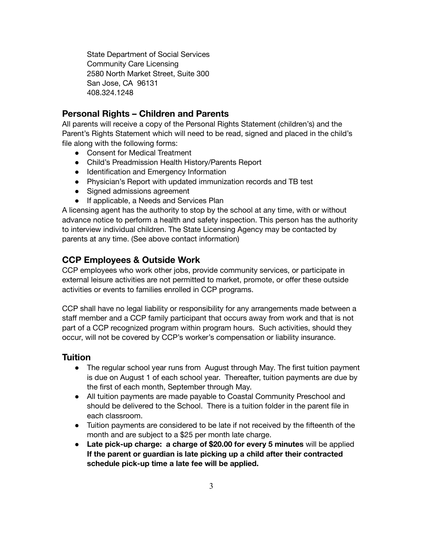State Department of Social Services Community Care Licensing 2580 North Market Street, Suite 300 San Jose, CA 96131 408.324.1248

# **Personal Rights – Children and Parents**

All parents will receive a copy of the Personal Rights Statement (children's) and the Parent's Rights Statement which will need to be read, signed and placed in the child's file along with the following forms:

- Consent for Medical Treatment
- Child's Preadmission Health History/Parents Report
- Identification and Emergency Information
- Physician's Report with updated immunization records and TB test
- Signed admissions agreement
- If applicable, a Needs and Services Plan

A licensing agent has the authority to stop by the school at any time, with or without advance notice to perform a health and safety inspection. This person has the authority to interview individual children. The State Licensing Agency may be contacted by parents at any time. (See above contact information)

# **CCP Employees & Outside Work**

CCP employees who work other jobs, provide community services, or participate in external leisure activities are not permitted to market, promote, or offer these outside activities or events to families enrolled in CCP programs.

CCP shall have no legal liability or responsibility for any arrangements made between a staff member and a CCP family participant that occurs away from work and that is not part of a CCP recognized program within program hours. Such activities, should they occur, will not be covered by CCP's worker's compensation or liability insurance.

# **Tuition**

- The regular school year runs from August through May. The first tuition payment is due on August 1 of each school year. Thereafter, tuition payments are due by the first of each month, September through May.
- All tuition payments are made payable to Coastal Community Preschool and should be delivered to the School. There is a tuition folder in the parent file in each classroom.
- Tuition payments are considered to be late if not received by the fifteenth of the month and are subject to a \$25 per month late charge.
- **● Late pick-up charge: a charge of \$20.00 for every 5 minutes** will be applied **If the parent or guardian is late picking up a child after their contracted schedule pick-up time a late fee will be applied.**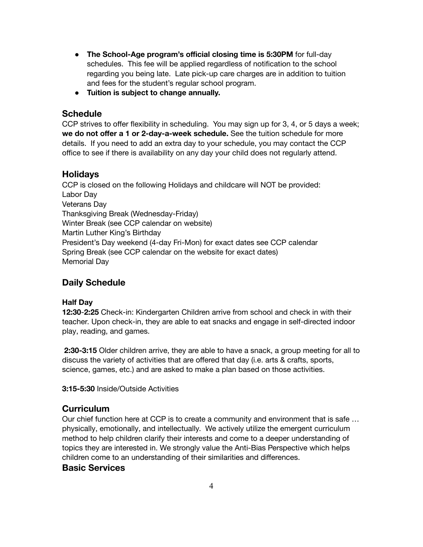- **The School-Age program's official closing time is 5:30PM** for full-day schedules. This fee will be applied regardless of notification to the school regarding you being late. Late pick-up care charges are in addition to tuition and fees for the student's regular school program.
- **Tuition is subject to change annually.**

### **Schedule**

CCP strives to offer flexibility in scheduling. You may sign up for 3, 4, or 5 days a week; **we do not offer a 1 or 2-day-a-week schedule.** See the tuition schedule for more details. If you need to add an extra day to your schedule, you may contact the CCP office to see if there is availability on any day your child does not regularly attend.

### **Holidays**

CCP is closed on the following Holidays and childcare will NOT be provided: Labor Day Veterans Day Thanksgiving Break (Wednesday-Friday) Winter Break (see CCP calendar on website) Martin Luther King's Birthday President's Day weekend (4-day Fri-Mon) for exact dates see CCP calendar Spring Break (see CCP calendar on the website for exact dates) Memorial Day

# **Daily Schedule**

### **Half Day**

**12:30**-**2:25** Check-in: Kindergarten Children arrive from school and check in with their teacher. Upon check-in, they are able to eat snacks and engage in self-directed indoor play, reading, and games.

**2:30-3:15** Older children arrive, they are able to have a snack, a group meeting for all to discuss the variety of activities that are offered that day (i.e. arts & crafts, sports, science, games, etc.) and are asked to make a plan based on those activities.

**3:15-5:30** Inside/Outside Activities

## **Curriculum**

Our chief function here at CCP is to create a community and environment that is safe … physically, emotionally, and intellectually. We actively utilize the emergent curriculum method to help children clarify their interests and come to a deeper understanding of topics they are interested in. We strongly value the Anti-Bias Perspective which helps children come to an understanding of their similarities and differences.

### **Basic Services**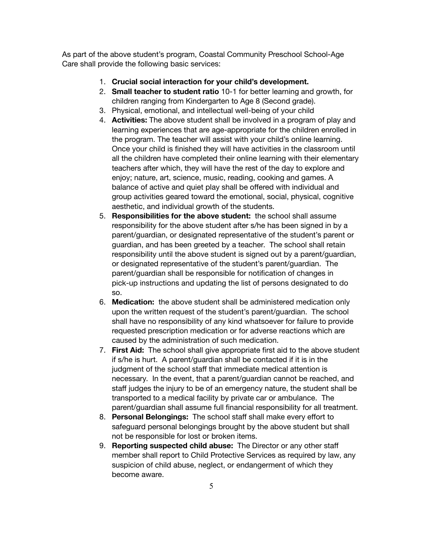As part of the above student's program, Coastal Community Preschool School-Age Care shall provide the following basic services:

- 1. **Crucial social interaction for your child's development.**
- 2. **Small teacher to student ratio** 10-1 for better learning and growth, for children ranging from Kindergarten to Age 8 (Second grade).
- 3. Physical, emotional, and intellectual well-being of your child
- 4. **Activities:** The above student shall be involved in a program of play and learning experiences that are age-appropriate for the children enrolled in the program. The teacher will assist with your child's online learning. Once your child is finished they will have activities in the classroom until all the children have completed their online learning with their elementary teachers after which, they will have the rest of the day to explore and enjoy; nature, art, science, music, reading, cooking and games. A balance of active and quiet play shall be offered with individual and group activities geared toward the emotional, social, physical, cognitive aesthetic, and individual growth of the students.
- 5. **Responsibilities for the above student:** the school shall assume responsibility for the above student after s/he has been signed in by a parent/guardian, or designated representative of the student's parent or guardian, and has been greeted by a teacher. The school shall retain responsibility until the above student is signed out by a parent/guardian, or designated representative of the student's parent/guardian. The parent/guardian shall be responsible for notification of changes in pick-up instructions and updating the list of persons designated to do so.
- 6. **Medication:** the above student shall be administered medication only upon the written request of the student's parent/guardian. The school shall have no responsibility of any kind whatsoever for failure to provide requested prescription medication or for adverse reactions which are caused by the administration of such medication.
- 7. **First Aid:** The school shall give appropriate first aid to the above student if s/he is hurt. A parent/guardian shall be contacted if it is in the judgment of the school staff that immediate medical attention is necessary. In the event, that a parent/guardian cannot be reached, and staff judges the injury to be of an emergency nature, the student shall be transported to a medical facility by private car or ambulance. The parent/guardian shall assume full financial responsibility for all treatment.
- 8. **Personal Belongings:** The school staff shall make every effort to safeguard personal belongings brought by the above student but shall not be responsible for lost or broken items.
- 9. **Reporting suspected child abuse:** The Director or any other staff member shall report to Child Protective Services as required by law, any suspicion of child abuse, neglect, or endangerment of which they become aware.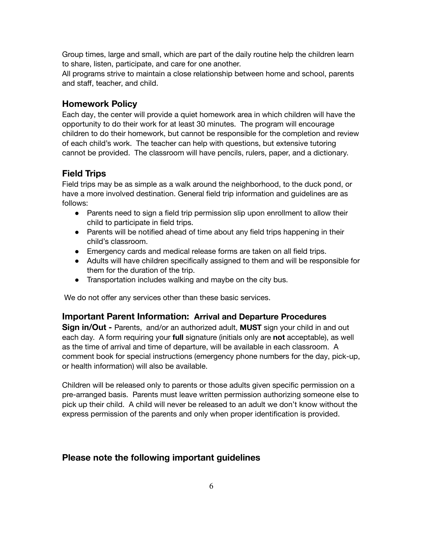Group times, large and small, which are part of the daily routine help the children learn to share, listen, participate, and care for one another.

All programs strive to maintain a close relationship between home and school, parents and staff, teacher, and child.

### **Homework Policy**

Each day, the center will provide a quiet homework area in which children will have the opportunity to do their work for at least 30 minutes. The program will encourage children to do their homework, but cannot be responsible for the completion and review of each child's work. The teacher can help with questions, but extensive tutoring cannot be provided. The classroom will have pencils, rulers, paper, and a dictionary.

### **Field Trips**

Field trips may be as simple as a walk around the neighborhood, to the duck pond, or have a more involved destination. General field trip information and guidelines are as follows:

- Parents need to sign a field trip permission slip upon enrollment to allow their child to participate in field trips.
- Parents will be notified ahead of time about any field trips happening in their child's classroom.
- Emergency cards and medical release forms are taken on all field trips.
- Adults will have children specifically assigned to them and will be responsible for them for the duration of the trip.
- Transportation includes walking and maybe on the city bus.

We do not offer any services other than these basic services.

### **Important Parent Information: Arrival and Departure Procedures**

**Sign in/Out -** Parents, and/or an authorized adult, **MUST** sign your child in and out each day. A form requiring your **full** signature (initials only are **not** acceptable), as well as the time of arrival and time of departure, will be available in each classroom. A comment book for special instructions (emergency phone numbers for the day, pick-up, or health information) will also be available.

Children will be released only to parents or those adults given specific permission on a pre-arranged basis. Parents must leave written permission authorizing someone else to pick up their child. A child will never be released to an adult we don't know without the express permission of the parents and only when proper identification is provided.

## **Please note the following important guidelines**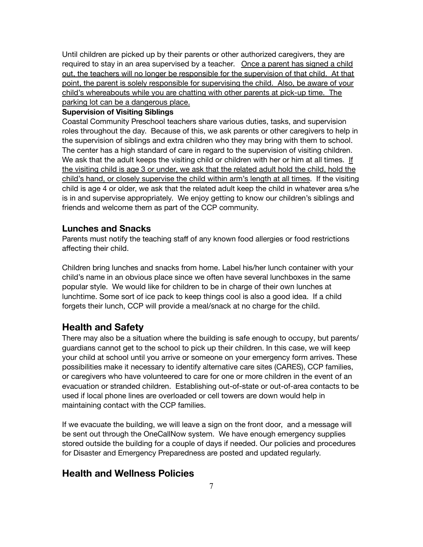Until children are picked up by their parents or other authorized caregivers, they are required to stay in an area supervised by a teacher. Once a parent has signed a child out, the teachers will no longer be responsible for the supervision of that child. At that point, the parent is solely responsible for supervising the child. Also, be aware of your child's whereabouts while you are chatting with other parents at pick-up time. The parking lot can be a dangerous place.

#### **Supervision of Visiting Siblings**

Coastal Community Preschool teachers share various duties, tasks, and supervision roles throughout the day. Because of this, we ask parents or other caregivers to help in the supervision of siblings and extra children who they may bring with them to school. The center has a high standard of care in regard to the supervision of visiting children. We ask that the adult keeps the visiting child or children with her or him at all times. If the visiting child is age 3 or under, we ask that the related adult hold the child, hold the child's hand, or closely supervise the child within arm's length at all times. If the visiting child is age 4 or older, we ask that the related adult keep the child in whatever area s/he is in and supervise appropriately. We enjoy getting to know our children's siblings and friends and welcome them as part of the CCP community.

### **Lunches and Snacks**

Parents must notify the teaching staff of any known food allergies or food restrictions affecting their child.

Children bring lunches and snacks from home. Label his/her lunch container with your child's name in an obvious place since we often have several lunchboxes in the same popular style. We would like for children to be in charge of their own lunches at lunchtime. Some sort of ice pack to keep things cool is also a good idea. If a child forgets their lunch, CCP will provide a meal/snack at no charge for the child.

## **Health and Safety**

There may also be a situation where the building is safe enough to occupy, but parents/ guardians cannot get to the school to pick up their children. In this case, we will keep your child at school until you arrive or someone on your emergency form arrives. These possibilities make it necessary to identify alternative care sites (CARES), CCP families, or caregivers who have volunteered to care for one or more children in the event of an evacuation or stranded children. Establishing out-of-state or out-of-area contacts to be used if local phone lines are overloaded or cell towers are down would help in maintaining contact with the CCP families.

If we evacuate the building, we will leave a sign on the front door, and a message will be sent out through the OneCallNow system. We have enough emergency supplies stored outside the building for a couple of days if needed. Our policies and procedures for Disaster and Emergency Preparedness are posted and updated regularly.

# **Health and Wellness Policies**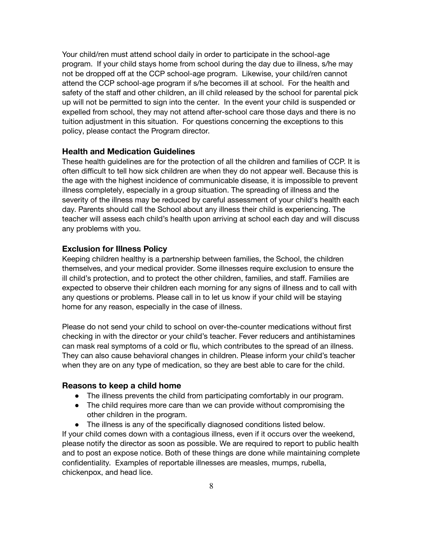Your child/ren must attend school daily in order to participate in the school-age program. If your child stays home from school during the day due to illness, s/he may not be dropped off at the CCP school-age program. Likewise, your child/ren cannot attend the CCP school-age program if s/he becomes ill at school. For the health and safety of the staff and other children, an ill child released by the school for parental pick up will not be permitted to sign into the center. In the event your child is suspended or expelled from school, they may not attend after-school care those days and there is no tuition adjustment in this situation. For questions concerning the exceptions to this policy, please contact the Program director.

#### **Health and Medication Guidelines**

These health guidelines are for the protection of all the children and families of CCP. It is often difficult to tell how sick children are when they do not appear well. Because this is the age with the highest incidence of communicable disease, it is impossible to prevent illness completely, especially in a group situation. The spreading of illness and the severity of the illness may be reduced by careful assessment of your child's health each day. Parents should call the School about any illness their child is experiencing. The teacher will assess each child's health upon arriving at school each day and will discuss any problems with you.

#### **Exclusion for Illness Policy**

Keeping children healthy is a partnership between families, the School, the children themselves, and your medical provider. Some illnesses require exclusion to ensure the ill child's protection, and to protect the other children, families, and staff. Families are expected to observe their children each morning for any signs of illness and to call with any questions or problems. Please call in to let us know if your child will be staying home for any reason, especially in the case of illness.

Please do not send your child to school on over-the-counter medications without first checking in with the director or your child's teacher. Fever reducers and antihistamines can mask real symptoms of a cold or flu, which contributes to the spread of an illness. They can also cause behavioral changes in children. Please inform your child's teacher when they are on any type of medication, so they are best able to care for the child.

#### **Reasons to keep a child home**

- The illness prevents the child from participating comfortably in our program.
- The child requires more care than we can provide without compromising the other children in the program.
- The illness is any of the specifically diagnosed conditions listed below.

If your child comes down with a contagious illness, even if it occurs over the weekend, please notify the director as soon as possible. We are required to report to public health and to post an expose notice. Both of these things are done while maintaining complete confidentiality. Examples of reportable illnesses are measles, mumps, rubella, chickenpox, and head lice.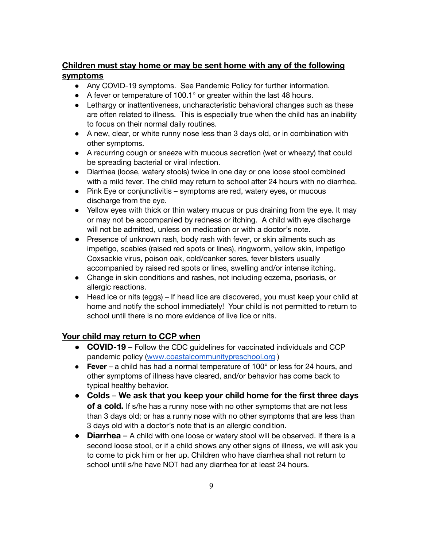# **Children must stay home or may be sent home with any of the following symptoms**

- Any COVID-19 symptoms. See Pandemic Policy for further information.
- A fever or temperature of 100.1° or greater within the last 48 hours.
- Lethargy or inattentiveness, uncharacteristic behavioral changes such as these are often related to illness. This is especially true when the child has an inability to focus on their normal daily routines.
- A new, clear, or white runny nose less than 3 days old, or in combination with other symptoms.
- A recurring cough or sneeze with mucous secretion (wet or wheezy) that could be spreading bacterial or viral infection.
- Diarrhea (loose, watery stools) twice in one day or one loose stool combined with a mild fever. The child may return to school after 24 hours with no diarrhea.
- Pink Eye or conjunctivitis symptoms are red, watery eyes, or mucous discharge from the eye.
- Yellow eyes with thick or thin watery mucus or pus draining from the eye. It may or may not be accompanied by redness or itching. A child with eye discharge will not be admitted, unless on medication or with a doctor's note.
- Presence of unknown rash, body rash with fever, or skin ailments such as impetigo, scabies (raised red spots or lines), ringworm, yellow skin, impetigo Coxsackie virus, poison oak, cold/canker sores, fever blisters usually accompanied by raised red spots or lines, swelling and/or intense itching.
- Change in skin conditions and rashes, not including eczema, psoriasis, or allergic reactions.
- Head ice or nits (eggs) If head lice are discovered, you must keep your child at home and notify the school immediately! Your child is not permitted to return to school until there is no more evidence of live lice or nits.

## **Your child may return to CCP when**

- **COVID-19** Follow the CDC guidelines for vaccinated individuals and CCP pandemic policy ([www.coastalcommunitypreschool.org](http://www.coastalcommunitypreschool.org) )
- **Fever** a child has had a normal temperature of 100° or less for 24 hours, and other symptoms of illness have cleared, and/or behavior has come back to typical healthy behavior.
- **Colds We ask that you keep your child home for the first three days of a cold.** If s/he has a runny nose with no other symptoms that are not less than 3 days old; or has a runny nose with no other symptoms that are less than 3 days old with a doctor's note that is an allergic condition.
- **Diarrhea** A child with one loose or watery stool will be observed. If there is a second loose stool, or if a child shows any other signs of illness, we will ask you to come to pick him or her up. Children who have diarrhea shall not return to school until s/he have NOT had any diarrhea for at least 24 hours.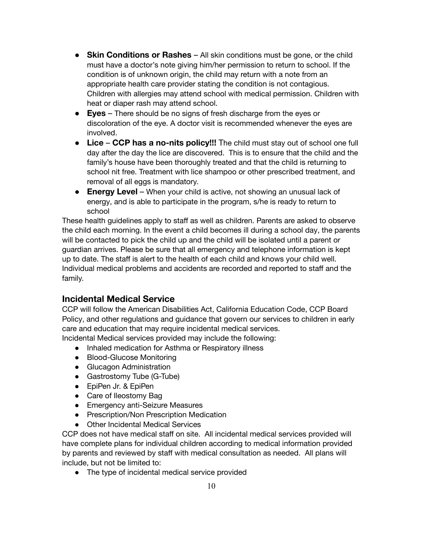- **Skin Conditions or Rashes** All skin conditions must be gone, or the child must have a doctor's note giving him/her permission to return to school. If the condition is of unknown origin, the child may return with a note from an appropriate health care provider stating the condition is not contagious. Children with allergies may attend school with medical permission. Children with heat or diaper rash may attend school.
- **Eyes** There should be no signs of fresh discharge from the eyes or discoloration of the eye. A doctor visit is recommended whenever the eyes are involved.
- **Lice CCP has a no-nits policy!!!** The child must stay out of school one full day after the day the lice are discovered. This is to ensure that the child and the family's house have been thoroughly treated and that the child is returning to school nit free. Treatment with lice shampoo or other prescribed treatment, and removal of all eggs is mandatory.
- **Energy Level** When your child is active, not showing an unusual lack of energy, and is able to participate in the program, s/he is ready to return to school

These health guidelines apply to staff as well as children. Parents are asked to observe the child each morning. In the event a child becomes ill during a school day, the parents will be contacted to pick the child up and the child will be isolated until a parent or guardian arrives. Please be sure that all emergency and telephone information is kept up to date. The staff is alert to the health of each child and knows your child well. Individual medical problems and accidents are recorded and reported to staff and the family.

# **Incidental Medical Service**

CCP will follow the American Disabilities Act, California Education Code, CCP Board Policy, and other regulations and guidance that govern our services to children in early care and education that may require incidental medical services. Incidental Medical services provided may include the following:

- Inhaled medication for Asthma or Respiratory illness
- Blood-Glucose Monitoring
- Glucagon Administration
- Gastrostomy Tube (G-Tube)
- EpiPen Jr. & EpiPen
- Care of Ileostomy Bag
- Emergency anti-Seizure Measures
- Prescription/Non Prescription Medication
- Other Incidental Medical Services

CCP does not have medical staff on site. All incidental medical services provided will have complete plans for individual children according to medical information provided by parents and reviewed by staff with medical consultation as needed. All plans will include, but not be limited to:

• The type of incidental medical service provided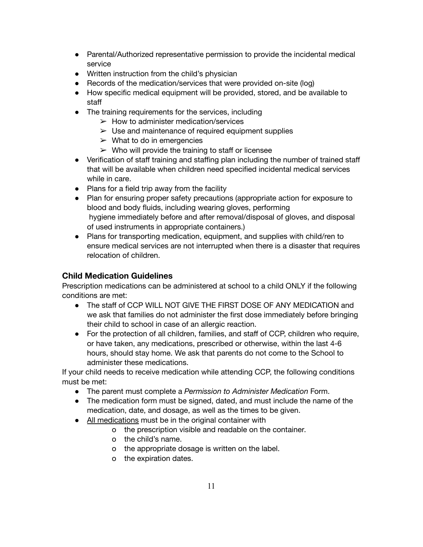- Parental/Authorized representative permission to provide the incidental medical service
- Written instruction from the child's physician
- Records of the medication/services that were provided on-site (log)
- How specific medical equipment will be provided, stored, and be available to staff
- The training requirements for the services, including
	- $\triangleright$  How to administer medication/services
	- $\triangleright$  Use and maintenance of required equipment supplies
	- $\triangleright$  What to do in emergencies
	- $\triangleright$  Who will provide the training to staff or licensee
- Verification of staff training and staffing plan including the number of trained staff that will be available when children need specified incidental medical services while in care.
- Plans for a field trip away from the facility
- Plan for ensuring proper safety precautions (appropriate action for exposure to blood and body fluids, including wearing gloves, performing hygiene immediately before and after removal/disposal of gloves, and disposal of used instruments in appropriate containers.)
- Plans for transporting medication, equipment, and supplies with child/ren to ensure medical services are not interrupted when there is a disaster that requires relocation of children.

### **Child Medication Guidelines**

Prescription medications can be administered at school to a child ONLY if the following conditions are met:

- The staff of CCP WILL NOT GIVE THE FIRST DOSE OF ANY MEDICATION and we ask that families do not administer the first dose immediately before bringing their child to school in case of an allergic reaction.
- For the protection of all children, families, and staff of CCP, children who require, or have taken, any medications, prescribed or otherwise, within the last 4-6 hours, should stay home. We ask that parents do not come to the School to administer these medications.

If your child needs to receive medication while attending CCP, the following conditions must be met:

- The parent must complete a *Permission to Administer Medication* Form.
- The medication form must be signed, dated, and must include the name of the medication, date, and dosage, as well as the times to be given.
- All medications must be in the original container with
	- o the prescription visible and readable on the container.
	- o the child's name.
	- o the appropriate dosage is written on the label.
	- o the expiration dates.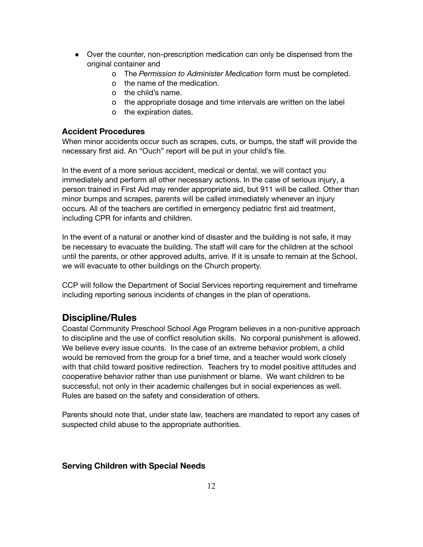- Over the counter, non-prescription medication can only be dispensed from the original container and
	- o The *Permission to Administer Medication* form must be completed.
	- o the name of the medication.
	- o the child's name.
	- o the appropriate dosage and time intervals are written on the label
	- o the expiration dates.

### **Accident Procedures**

When minor accidents occur such as scrapes, cuts, or bumps, the staff will provide the necessary first aid. An "Ouch" report will be put in your child's file.

In the event of a more serious accident, medical or dental, we will contact you immediately and perform all other necessary actions. In the case of serious injury, a person trained in First Aid may render appropriate aid, but 911 will be called. Other than minor bumps and scrapes, parents will be called immediately whenever an injury occurs. All of the teachers are certified in emergency pediatric first aid treatment, including CPR for infants and children.

In the event of a natural or another kind of disaster and the building is not safe, it may be necessary to evacuate the building. The staff will care for the children at the school until the parents, or other approved adults, arrive. If it is unsafe to remain at the School, we will evacuate to other buildings on the Church property.

CCP will follow the Department of Social Services reporting requirement and timeframe including reporting serious incidents of changes in the plan of operations.

# **Discipline/Rules**

Coastal Community Preschool School Age Program believes in a non-punitive approach to discipline and the use of conflict resolution skills. No corporal punishment is allowed. We believe every issue counts. In the case of an extreme behavior problem, a child would be removed from the group for a brief time, and a teacher would work closely with that child toward positive redirection. Teachers try to model positive attitudes and cooperative behavior rather than use punishment or blame. We want children to be successful, not only in their academic challenges but in social experiences as well. Rules are based on the safety and consideration of others.

Parents should note that, under state law, teachers are mandated to report any cases of suspected child abuse to the appropriate authorities.

### **Serving Children with Special Needs**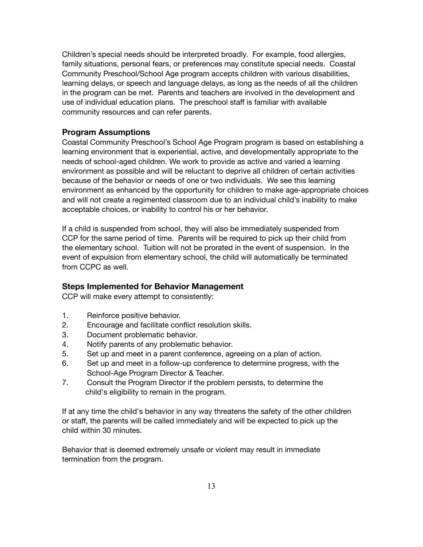Children's special needs should be interpreted broadly. For example, food allergies, family situations, personal fears, or preferences may constitute special needs. Coastal Community Preschool/School Age program accepts children with various disabilities, learning delays, or speech and language delays, as long as the needs of all the children in the program can be met. Parents and teachers are involved in the development and use of individual education plans. The preschool staff is familiar with available community resources and can refer parents.

#### **Program Assumptions**

Coastal Community Preschool's School Age Program program is based on establishing a learning environment that is experiential, active, and developmentally appropriate to the needs of school-aged children. We work to provide as active and varied a learning environment as possible and will be reluctant to deprive all children of certain activities because of the behavior or needs of one or two individuals. We see this learning environment as enhanced by the opportunity for children to make age-appropriate choices and will not create a regimented classroom due to an individual child's inability to make acceptable choices, or inability to control his or her behavior.

If a child is suspended from school, they will also be immediately suspended from CCP for the same period of time. Parents will be required to pick up their child from the elementary school. Tuition will not be prorated in the event of suspension. In the event of expulsion from elementary school, the child will automatically be terminated from CCPC as well.

#### **Steps Implemented for Behavior Management**

CCP will make every attempt to consistently:

- 1. Reinforce positive behavior.
- 2. Encourage and facilitate conflict resolution skills.
- 3. Document problematic behavior.
- 4. Notify parents of any problematic behavior.
- 5. Set up and meet in a parent conference, agreeing on a plan of action.
- 6. Set up and meet in a follow-up conference to determine progress, with the School-Age Program Director & Teacher.
- 7. Consult the Program Director if the problem persists, to determine the child's eligibility to remain in the program.

If at any time the child's behavior in any way threatens the safety of the other children or staff, the parents will be called immediately and will be expected to pick up the child within 30 minutes.

Behavior that is deemed extremely unsafe or violent may result in immediate termination from the program.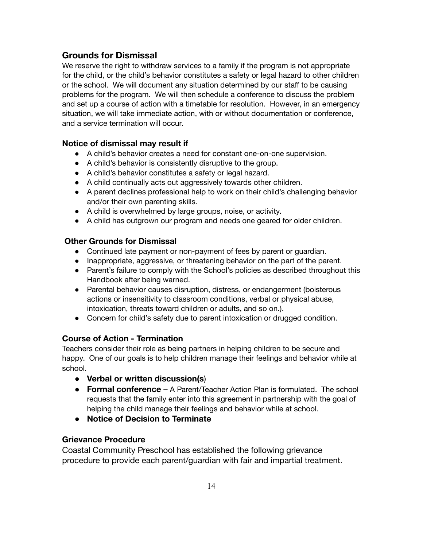# **Grounds for Dismissal**

We reserve the right to withdraw services to a family if the program is not appropriate for the child, or the child's behavior constitutes a safety or legal hazard to other children or the school. We will document any situation determined by our staff to be causing problems for the program. We will then schedule a conference to discuss the problem and set up a course of action with a timetable for resolution. However, in an emergency situation, we will take immediate action, with or without documentation or conference, and a service termination will occur.

### **Notice of dismissal may result if**

- A child's behavior creates a need for constant one-on-one supervision.
- A child's behavior is consistently disruptive to the group.
- A child's behavior constitutes a safety or legal hazard.
- A child continually acts out aggressively towards other children.
- A parent declines professional help to work on their child's challenging behavior and/or their own parenting skills.
- A child is overwhelmed by large groups, noise, or activity.
- A child has outgrown our program and needs one geared for older children.

### **Other Grounds for Dismissal**

- Continued late payment or non-payment of fees by parent or guardian.
- Inappropriate, aggressive, or threatening behavior on the part of the parent.
- Parent's failure to comply with the School's policies as described throughout this Handbook after being warned.
- Parental behavior causes disruption, distress, or endangerment (boisterous actions or insensitivity to classroom conditions, verbal or physical abuse, intoxication, threats toward children or adults, and so on.).
- Concern for child's safety due to parent intoxication or drugged condition.

### **Course of Action - Termination**

Teachers consider their role as being partners in helping children to be secure and happy. One of our goals is to help children manage their feelings and behavior while at school.

- **Verbal or written discussion(s**)
- **Formal conference** A Parent/Teacher Action Plan is formulated. The school requests that the family enter into this agreement in partnership with the goal of helping the child manage their feelings and behavior while at school.
- **Notice of Decision to Terminate**

## **Grievance Procedure**

Coastal Community Preschool has established the following grievance procedure to provide each parent/guardian with fair and impartial treatment.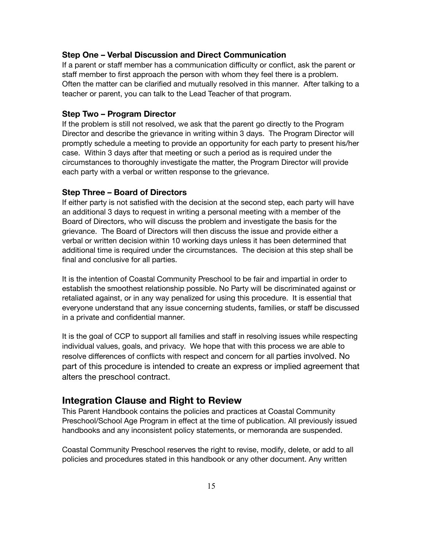#### **Step One – Verbal Discussion and Direct Communication**

If a parent or staff member has a communication difficulty or conflict, ask the parent or staff member to first approach the person with whom they feel there is a problem. Often the matter can be clarified and mutually resolved in this manner. After talking to a teacher or parent, you can talk to the Lead Teacher of that program.

#### **Step Two – Program Director**

If the problem is still not resolved, we ask that the parent go directly to the Program Director and describe the grievance in writing within 3 days. The Program Director will promptly schedule a meeting to provide an opportunity for each party to present his/her case. Within 3 days after that meeting or such a period as is required under the circumstances to thoroughly investigate the matter, the Program Director will provide each party with a verbal or written response to the grievance.

#### **Step Three – Board of Directors**

If either party is not satisfied with the decision at the second step, each party will have an additional 3 days to request in writing a personal meeting with a member of the Board of Directors, who will discuss the problem and investigate the basis for the grievance. The Board of Directors will then discuss the issue and provide either a verbal or written decision within 10 working days unless it has been determined that additional time is required under the circumstances. The decision at this step shall be final and conclusive for all parties.

It is the intention of Coastal Community Preschool to be fair and impartial in order to establish the smoothest relationship possible. No Party will be discriminated against or retaliated against, or in any way penalized for using this procedure. It is essential that everyone understand that any issue concerning students, families, or staff be discussed in a private and confidential manner.

It is the goal of CCP to support all families and staff in resolving issues while respecting individual values, goals, and privacy. We hope that with this process we are able to resolve differences of conflicts with respect and concern for all parties involved. No part of this procedure is intended to create an express or implied agreement that alters the preschool contract.

### **Integration Clause and Right to Review**

This Parent Handbook contains the policies and practices at Coastal Community Preschool/School Age Program in effect at the time of publication. All previously issued handbooks and any inconsistent policy statements, or memoranda are suspended.

Coastal Community Preschool reserves the right to revise, modify, delete, or add to all policies and procedures stated in this handbook or any other document. Any written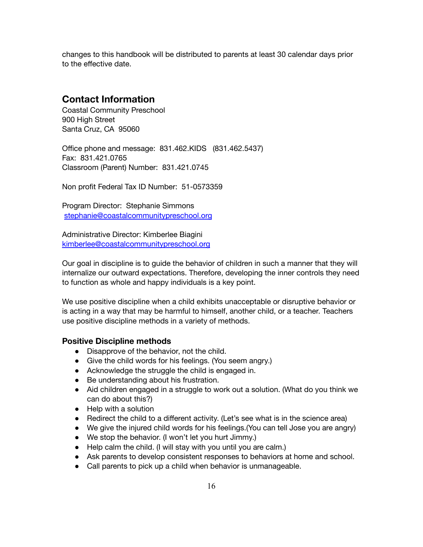changes to this handbook will be distributed to parents at least 30 calendar days prior to the effective date.

## **Contact Information**

Coastal Community Preschool 900 High Street Santa Cruz, CA 95060

Office phone and message: 831.462.KIDS (831.462.5437) Fax: 831.421.0765 Classroom (Parent) Number: 831.421.0745

Non profit Federal Tax ID Number: 51-0573359

Program Director: Stephanie Simmons [stephanie@coastalcommunitypreschool.org](mailto:stephanie@coastalcommunitypreschool.oirg)

Administrative Director: Kimberlee Biagini kimberlee@coastalcommunitypreschool.org

Our goal in discipline is to guide the behavior of children in such a manner that they will internalize our outward expectations. Therefore, developing the inner controls they need to function as whole and happy individuals is a key point.

We use positive discipline when a child exhibits unacceptable or disruptive behavior or is acting in a way that may be harmful to himself, another child, or a teacher. Teachers use positive discipline methods in a variety of methods.

#### **Positive Discipline methods**

- Disapprove of the behavior, not the child.
- Give the child words for his feelings. (You seem angry.)
- Acknowledge the struggle the child is engaged in.
- Be understanding about his frustration.
- Aid children engaged in a struggle to work out a solution. (What do you think we can do about this?)
- Help with a solution
- Redirect the child to a different activity. (Let's see what is in the science area)
- We give the injured child words for his feelings.(You can tell Jose you are angry)
- We stop the behavior. (I won't let you hurt Jimmy.)
- Help calm the child. (I will stay with you until you are calm.)
- Ask parents to develop consistent responses to behaviors at home and school.
- Call parents to pick up a child when behavior is unmanageable.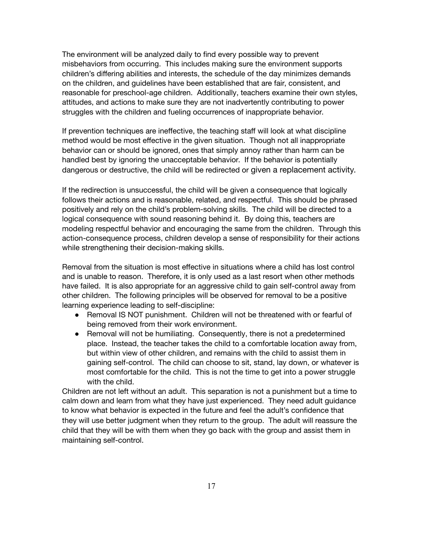The environment will be analyzed daily to find every possible way to prevent misbehaviors from occurring. This includes making sure the environment supports children's differing abilities and interests, the schedule of the day minimizes demands on the children, and guidelines have been established that are fair, consistent, and reasonable for preschool-age children. Additionally, teachers examine their own styles, attitudes, and actions to make sure they are not inadvertently contributing to power struggles with the children and fueling occurrences of inappropriate behavior.

If prevention techniques are ineffective, the teaching staff will look at what discipline method would be most effective in the given situation. Though not all inappropriate behavior can or should be ignored, ones that simply annoy rather than harm can be handled best by ignoring the unacceptable behavior. If the behavior is potentially dangerous or destructive, the child will be redirected or given a replacement activity.

If the redirection is unsuccessful, the child will be given a consequence that logically follows their actions and is reasonable, related, and respectful. This should be phrased positively and rely on the child's problem-solving skills. The child will be directed to a logical consequence with sound reasoning behind it. By doing this, teachers are modeling respectful behavior and encouraging the same from the children. Through this action-consequence process, children develop a sense of responsibility for their actions while strengthening their decision-making skills.

Removal from the situation is most effective in situations where a child has lost control and is unable to reason. Therefore, it is only used as a last resort when other methods have failed. It is also appropriate for an aggressive child to gain self-control away from other children. The following principles will be observed for removal to be a positive learning experience leading to self-discipline:

- Removal IS NOT punishment. Children will not be threatened with or fearful of being removed from their work environment.
- Removal will not be humiliating. Consequently, there is not a predetermined place. Instead, the teacher takes the child to a comfortable location away from, but within view of other children, and remains with the child to assist them in gaining self-control. The child can choose to sit, stand, lay down, or whatever is most comfortable for the child. This is not the time to get into a power struggle with the child.

Children are not left without an adult. This separation is not a punishment but a time to calm down and learn from what they have just experienced. They need adult guidance to know what behavior is expected in the future and feel the adult's confidence that they will use better judgment when they return to the group. The adult will reassure the child that they will be with them when they go back with the group and assist them in maintaining self-control.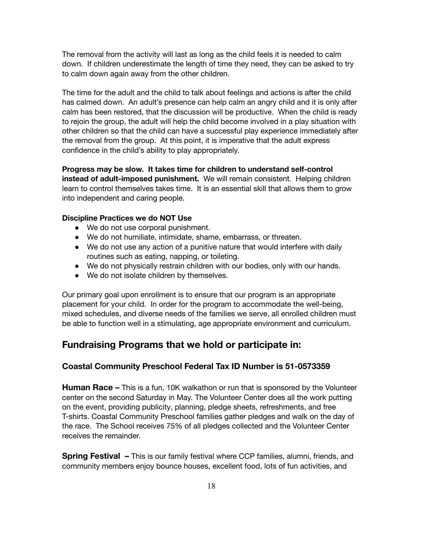The removal from the activity will last as long as the child feels it is needed to calm down. If children underestimate the length of time they need, they can be asked to try to calm down again away from the other children.

The time for the adult and the child to talk about feelings and actions is after the child has calmed down. An adult's presence can help calm an angry child and it is only after calm has been restored, that the discussion will be productive. When the child is ready to rejoin the group, the adult will help the child become involved in a play situation with other children so that the child can have a successful play experience immediately after the removal from the group. At this point, it is imperative that the adult express confidence in the child's ability to play appropriately.

**Progress may be slow. It takes time for children to understand self-control instead of adult-imposed punishment.** We will remain consistent. Helping children learn to control themselves takes time. It is an essential skill that allows them to grow into independent and caring people.

#### **Discipline Practices we do NOT Use**

- We do not use corporal punishment.
- We do not humiliate, intimidate, shame, embarrass, or threaten.
- We do not use any action of a punitive nature that would interfere with daily routines such as eating, napping, or toileting.
- We do not physically restrain children with our bodies, only with our hands.
- We do not isolate children by themselves.

Our primary goal upon enrollment is to ensure that our program is an appropriate placement for your child. In order for the program to accommodate the well-being, mixed schedules, and diverse needs of the families we serve, all enrolled children must be able to function well in a stimulating, age appropriate environment and curriculum.

### **Fundraising Programs that we hold or participate in:**

#### **Coastal Community Preschool Federal Tax ID Number is 51-0573359**

**Human Race –** This is a fun, 10K walkathon or run that is sponsored by the Volunteer center on the second Saturday in May. The Volunteer Center does all the work putting on the event, providing publicity, planning, pledge sheets, refreshments, and free T-shirts. Coastal Community Preschool families gather pledges and walk on the day of the race. The School receives 75% of all pledges collected and the Volunteer Center receives the remainder.

**Spring Festival –** This is our family festival where CCP families, alumni, friends, and community members enjoy bounce houses, excellent food, lots of fun activities, and